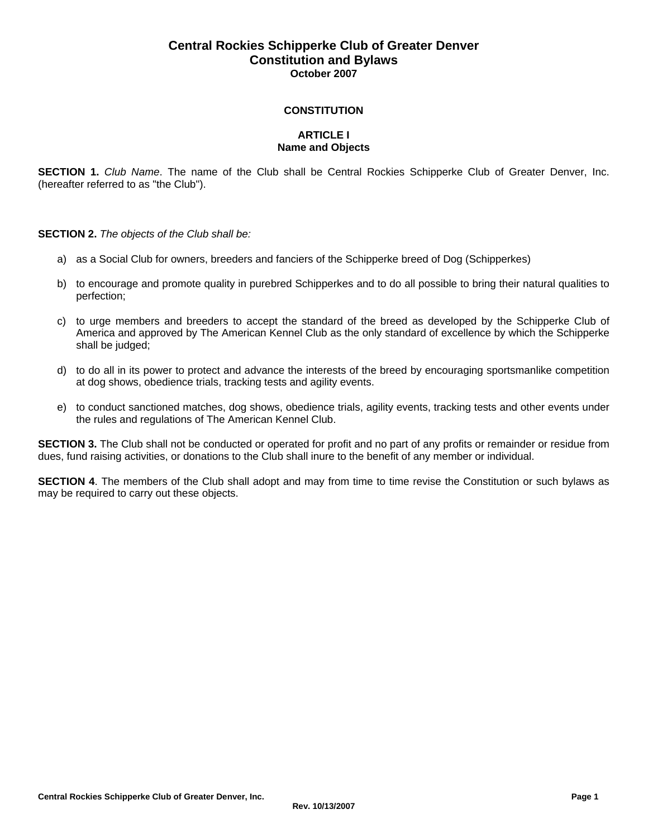## **Central Rockies Schipperke Club of Greater Denver Constitution and Bylaws October 2007**

## **CONSTITUTION**

### **ARTICLE I Name and Objects**

**SECTION 1.** *Club Name*. The name of the Club shall be Central Rockies Schipperke Club of Greater Denver, Inc. (hereafter referred to as "the Club").

**SECTION 2.** *The objects of the Club shall be:*

- a) as a Social Club for owners, breeders and fanciers of the Schipperke breed of Dog (Schipperkes)
- b) to encourage and promote quality in purebred Schipperkes and to do all possible to bring their natural qualities to perfection;
- c) to urge members and breeders to accept the standard of the breed as developed by the Schipperke Club of America and approved by The American Kennel Club as the only standard of excellence by which the Schipperke shall be judged;
- d) to do all in its power to protect and advance the interests of the breed by encouraging sportsmanlike competition at dog shows, obedience trials, tracking tests and agility events.
- e) to conduct sanctioned matches, dog shows, obedience trials, agility events, tracking tests and other events under the rules and regulations of The American Kennel Club.

**SECTION 3.** The Club shall not be conducted or operated for profit and no part of any profits or remainder or residue from dues, fund raising activities, or donations to the Club shall inure to the benefit of any member or individual.

**SECTION 4**. The members of the Club shall adopt and may from time to time revise the Constitution or such bylaws as may be required to carry out these objects.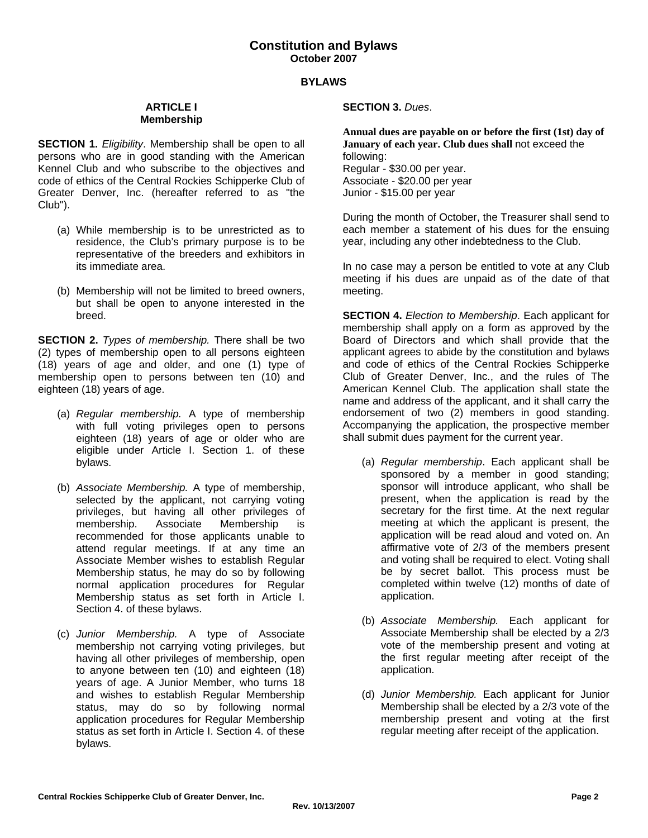# **Constitution and Bylaws October 2007**

### **BYLAWS**

#### **ARTICLE I Membership**

**SECTION 1.** *Eligibility*. Membership shall be open to all persons who are in good standing with the American Kennel Club and who subscribe to the objectives and code of ethics of the Central Rockies Schipperke Club of Greater Denver, Inc. (hereafter referred to as "the Club").

- (a) While membership is to be unrestricted as to residence, the Club's primary purpose is to be representative of the breeders and exhibitors in its immediate area.
- (b) Membership will not be limited to breed owners, but shall be open to anyone interested in the breed.

**SECTION 2.** *Types of membership.* There shall be two (2) types of membership open to all persons eighteen (18) years of age and older, and one (1) type of membership open to persons between ten (10) and eighteen (18) years of age.

- (a) *Regular membership.* A type of membership with full voting privileges open to persons eighteen (18) years of age or older who are eligible under Article I. Section 1. of these bylaws.
- (b) *Associate Membership.* A type of membership, selected by the applicant, not carrying voting privileges, but having all other privileges of membership. Associate Membership is recommended for those applicants unable to attend regular meetings. If at any time an Associate Member wishes to establish Regular Membership status, he may do so by following normal application procedures for Regular Membership status as set forth in Article I. Section 4. of these bylaws.
- (c) *Junior Membership.* A type of Associate membership not carrying voting privileges, but having all other privileges of membership, open to anyone between ten (10) and eighteen (18) years of age. A Junior Member, who turns 18 and wishes to establish Regular Membership status, may do so by following normal application procedures for Regular Membership status as set forth in Article I. Section 4. of these bylaws.

### **SECTION 3.** *Dues*.

**Annual dues are payable on or before the first (1st) day of January of each year. Club dues shall** not exceed the following: Regular - \$30.00 per year. Associate - \$20.00 per year Junior - \$15.00 per year

During the month of October, the Treasurer shall send to each member a statement of his dues for the ensuing year, including any other indebtedness to the Club.

In no case may a person be entitled to vote at any Club meeting if his dues are unpaid as of the date of that meeting.

**SECTION 4.** *Election to Membership*. Each applicant for membership shall apply on a form as approved by the Board of Directors and which shall provide that the applicant agrees to abide by the constitution and bylaws and code of ethics of the Central Rockies Schipperke Club of Greater Denver, Inc., and the rules of The American Kennel Club. The application shall state the name and address of the applicant, and it shall carry the endorsement of two (2) members in good standing. Accompanying the application, the prospective member shall submit dues payment for the current year.

- (a) *Regular membership*. Each applicant shall be sponsored by a member in good standing; sponsor will introduce applicant, who shall be present, when the application is read by the secretary for the first time. At the next regular meeting at which the applicant is present, the application will be read aloud and voted on. An affirmative vote of 2/3 of the members present and voting shall be required to elect. Voting shall be by secret ballot. This process must be completed within twelve (12) months of date of application.
- (b) *Associate Membership.* Each applicant for Associate Membership shall be elected by a 2/3 vote of the membership present and voting at the first regular meeting after receipt of the application.
- (d) *Junior Membership.* Each applicant for Junior Membership shall be elected by a 2/3 vote of the membership present and voting at the first regular meeting after receipt of the application.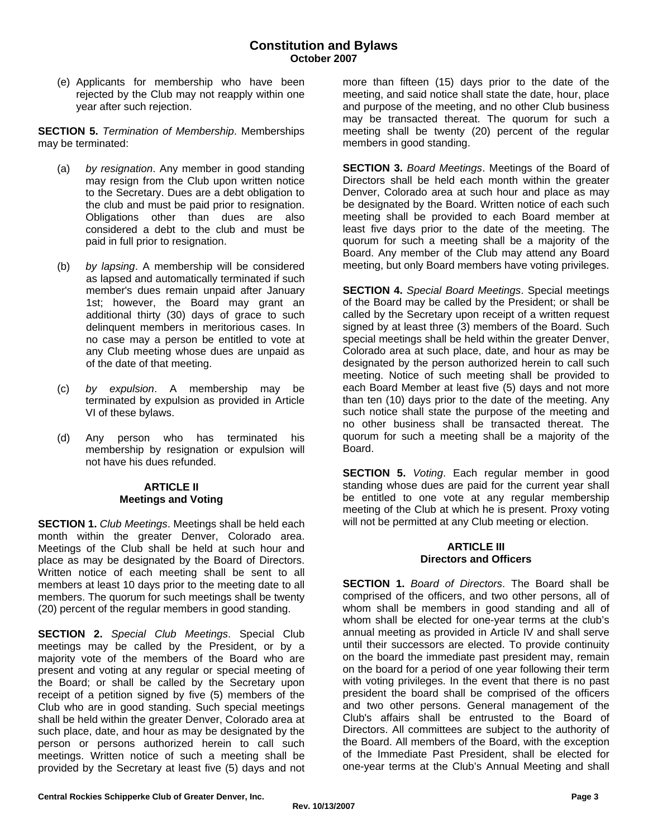(e) Applicants for membership who have been rejected by the Club may not reapply within one year after such rejection.

**SECTION 5.** *Termination of Membership*. Memberships may be terminated:

- (a) *by resignation*. Any member in good standing may resign from the Club upon written notice to the Secretary. Dues are a debt obligation to the club and must be paid prior to resignation. Obligations other than dues are also considered a debt to the club and must be paid in full prior to resignation.
- (b) *by lapsing*. A membership will be considered as lapsed and automatically terminated if such member's dues remain unpaid after January 1st; however, the Board may grant an additional thirty (30) days of grace to such delinquent members in meritorious cases. In no case may a person be entitled to vote at any Club meeting whose dues are unpaid as of the date of that meeting.
- (c) *by expulsion*. A membership may be terminated by expulsion as provided in Article VI of these bylaws.
- (d) Any person who has terminated his membership by resignation or expulsion will not have his dues refunded.

## **ARTICLE II Meetings and Voting**

**SECTION 1.** *Club Meetings*. Meetings shall be held each month within the greater Denver, Colorado area. Meetings of the Club shall be held at such hour and place as may be designated by the Board of Directors. Written notice of each meeting shall be sent to all members at least 10 days prior to the meeting date to all members. The quorum for such meetings shall be twenty (20) percent of the regular members in good standing.

**SECTION 2.** *Special Club Meetings*. Special Club meetings may be called by the President, or by a majority vote of the members of the Board who are present and voting at any regular or special meeting of the Board; or shall be called by the Secretary upon receipt of a petition signed by five (5) members of the Club who are in good standing. Such special meetings shall be held within the greater Denver, Colorado area at such place, date, and hour as may be designated by the person or persons authorized herein to call such meetings. Written notice of such a meeting shall be provided by the Secretary at least five (5) days and not

more than fifteen (15) days prior to the date of the meeting, and said notice shall state the date, hour, place and purpose of the meeting, and no other Club business may be transacted thereat. The quorum for such a meeting shall be twenty (20) percent of the regular members in good standing.

**SECTION 3.** *Board Meetings*. Meetings of the Board of Directors shall be held each month within the greater Denver, Colorado area at such hour and place as may be designated by the Board. Written notice of each such meeting shall be provided to each Board member at least five days prior to the date of the meeting. The quorum for such a meeting shall be a majority of the Board. Any member of the Club may attend any Board meeting, but only Board members have voting privileges.

**SECTION 4.** *Special Board Meetings*. Special meetings of the Board may be called by the President; or shall be called by the Secretary upon receipt of a written request signed by at least three (3) members of the Board. Such special meetings shall be held within the greater Denver, Colorado area at such place, date, and hour as may be designated by the person authorized herein to call such meeting. Notice of such meeting shall be provided to each Board Member at least five (5) days and not more than ten (10) days prior to the date of the meeting. Any such notice shall state the purpose of the meeting and no other business shall be transacted thereat. The quorum for such a meeting shall be a majority of the Board.

**SECTION 5.** *Voting*. Each regular member in good standing whose dues are paid for the current year shall be entitled to one vote at any regular membership meeting of the Club at which he is present. Proxy voting will not be permitted at any Club meeting or election.

### **ARTICLE III Directors and Officers**

**SECTION 1.** *Board of Directors*. The Board shall be comprised of the officers, and two other persons, all of whom shall be members in good standing and all of whom shall be elected for one-year terms at the club's annual meeting as provided in Article IV and shall serve until their successors are elected. To provide continuity on the board the immediate past president may, remain on the board for a period of one year following their term with voting privileges. In the event that there is no past president the board shall be comprised of the officers and two other persons. General management of the Club's affairs shall be entrusted to the Board of Directors. All committees are subject to the authority of the Board. All members of the Board, with the exception of the Immediate Past President, shall be elected for one-year terms at the Club's Annual Meeting and shall

**Central Rockies Schipperke Club of Greater Denver, Inc. Page 3**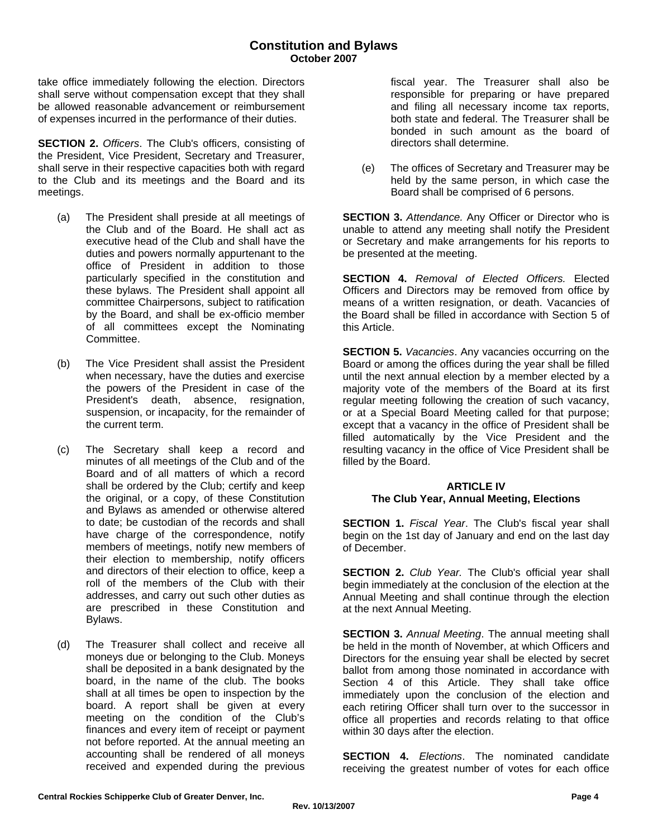take office immediately following the election. Directors shall serve without compensation except that they shall be allowed reasonable advancement or reimbursement of expenses incurred in the performance of their duties.

**SECTION 2.** *Officers*. The Club's officers, consisting of the President, Vice President, Secretary and Treasurer, shall serve in their respective capacities both with regard to the Club and its meetings and the Board and its meetings.

- (a) The President shall preside at all meetings of the Club and of the Board. He shall act as executive head of the Club and shall have the duties and powers normally appurtenant to the office of President in addition to those particularly specified in the constitution and these bylaws. The President shall appoint all committee Chairpersons, subject to ratification by the Board, and shall be ex-officio member of all committees except the Nominating Committee.
- (b) The Vice President shall assist the President when necessary, have the duties and exercise the powers of the President in case of the President's death, absence, resignation, suspension, or incapacity, for the remainder of the current term.
- (c) The Secretary shall keep a record and minutes of all meetings of the Club and of the Board and of all matters of which a record shall be ordered by the Club; certify and keep the original, or a copy, of these Constitution and Bylaws as amended or otherwise altered to date; be custodian of the records and shall have charge of the correspondence, notify members of meetings, notify new members of their election to membership, notify officers and directors of their election to office, keep a roll of the members of the Club with their addresses, and carry out such other duties as are prescribed in these Constitution and Bylaws.
- (d) The Treasurer shall collect and receive all moneys due or belonging to the Club. Moneys shall be deposited in a bank designated by the board, in the name of the club. The books shall at all times be open to inspection by the board. A report shall be given at every meeting on the condition of the Club's finances and every item of receipt or payment not before reported. At the annual meeting an accounting shall be rendered of all moneys received and expended during the previous

fiscal year. The Treasurer shall also be responsible for preparing or have prepared and filing all necessary income tax reports, both state and federal. The Treasurer shall be bonded in such amount as the board of directors shall determine.

(e) The offices of Secretary and Treasurer may be held by the same person, in which case the Board shall be comprised of 6 persons.

**SECTION 3.** *Attendance.* Any Officer or Director who is unable to attend any meeting shall notify the President or Secretary and make arrangements for his reports to be presented at the meeting.

**SECTION 4.** *Removal of Elected Officers.* Elected Officers and Directors may be removed from office by means of a written resignation, or death. Vacancies of the Board shall be filled in accordance with Section 5 of this Article.

**SECTION 5.** *Vacancies*. Any vacancies occurring on the Board or among the offices during the year shall be filled until the next annual election by a member elected by a majority vote of the members of the Board at its first regular meeting following the creation of such vacancy, or at a Special Board Meeting called for that purpose; except that a vacancy in the office of President shall be filled automatically by the Vice President and the resulting vacancy in the office of Vice President shall be filled by the Board.

#### **ARTICLE IV The Club Year, Annual Meeting, Elections**

**SECTION 1.** *Fiscal Year*. The Club's fiscal year shall begin on the 1st day of January and end on the last day of December.

**SECTION 2.** *Club Year.* The Club's official year shall begin immediately at the conclusion of the election at the Annual Meeting and shall continue through the election at the next Annual Meeting.

**SECTION 3.** *Annual Meeting*. The annual meeting shall be held in the month of November, at which Officers and Directors for the ensuing year shall be elected by secret ballot from among those nominated in accordance with Section 4 of this Article. They shall take office immediately upon the conclusion of the election and each retiring Officer shall turn over to the successor in office all properties and records relating to that office within 30 days after the election.

**SECTION 4.** *Elections*. The nominated candidate receiving the greatest number of votes for each office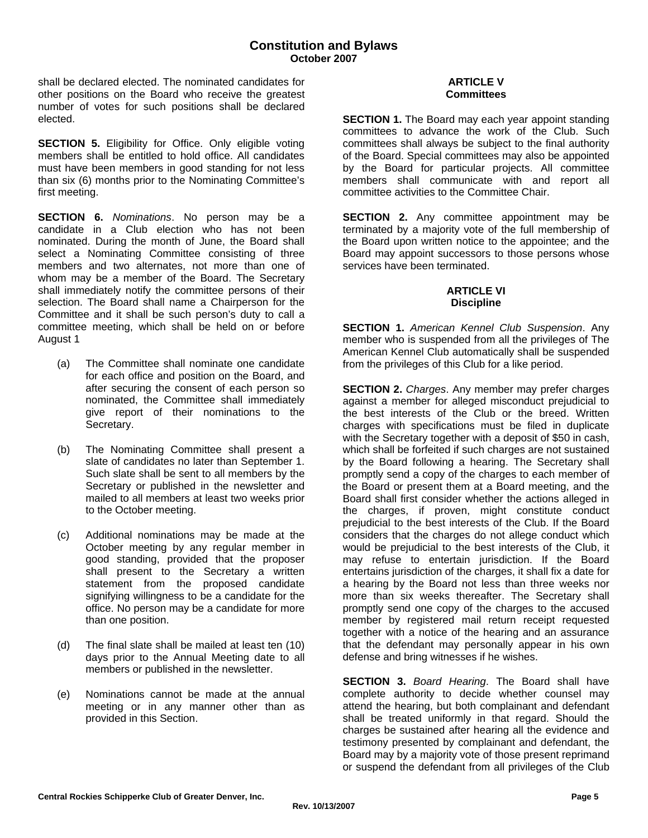shall be declared elected. The nominated candidates for other positions on the Board who receive the greatest number of votes for such positions shall be declared elected.

**SECTION 5.** Eligibility for Office. Only eligible voting members shall be entitled to hold office. All candidates must have been members in good standing for not less than six (6) months prior to the Nominating Committee's first meeting.

**SECTION 6.** *Nominations*. No person may be a candidate in a Club election who has not been nominated. During the month of June, the Board shall select a Nominating Committee consisting of three members and two alternates, not more than one of whom may be a member of the Board. The Secretary shall immediately notify the committee persons of their selection. The Board shall name a Chairperson for the Committee and it shall be such person's duty to call a committee meeting, which shall be held on or before August 1

- (a) The Committee shall nominate one candidate for each office and position on the Board, and after securing the consent of each person so nominated, the Committee shall immediately give report of their nominations to the Secretary.
- (b) The Nominating Committee shall present a slate of candidates no later than September 1. Such slate shall be sent to all members by the Secretary or published in the newsletter and mailed to all members at least two weeks prior to the October meeting.
- (c) Additional nominations may be made at the October meeting by any regular member in good standing, provided that the proposer shall present to the Secretary a written statement from the proposed candidate signifying willingness to be a candidate for the office. No person may be a candidate for more than one position.
- (d) The final slate shall be mailed at least ten (10) days prior to the Annual Meeting date to all members or published in the newsletter.
- (e) Nominations cannot be made at the annual meeting or in any manner other than as provided in this Section.

## **ARTlCLE V Committees**

**SECTION 1.** The Board may each year appoint standing committees to advance the work of the Club. Such committees shall always be subject to the final authority of the Board. Special committees may also be appointed by the Board for particular projects. All committee members shall communicate with and report all committee activities to the Committee Chair.

**SECTION 2.** Any committee appointment may be terminated by a majority vote of the full membership of the Board upon written notice to the appointee; and the Board may appoint successors to those persons whose services have been terminated.

# **ARTICLE VI Discipline**

**SECTION 1.** *American Kennel Club Suspension*. Any member who is suspended from all the privileges of The American Kennel Club automatically shall be suspended from the privileges of this Club for a like period.

**SECTION 2.** *Charges*. Any member may prefer charges against a member for alleged misconduct prejudicial to the best interests of the Club or the breed. Written charges with specifications must be filed in duplicate with the Secretary together with a deposit of \$50 in cash, which shall be forfeited if such charges are not sustained by the Board following a hearing. The Secretary shall promptly send a copy of the charges to each member of the Board or present them at a Board meeting, and the Board shall first consider whether the actions alleged in the charges, if proven, might constitute conduct prejudicial to the best interests of the Club. If the Board considers that the charges do not allege conduct which would be prejudicial to the best interests of the Club, it may refuse to entertain jurisdiction. If the Board entertains jurisdiction of the charges, it shall fix a date for a hearing by the Board not less than three weeks nor more than six weeks thereafter. The Secretary shall promptly send one copy of the charges to the accused member by registered mail return receipt requested together with a notice of the hearing and an assurance that the defendant may personally appear in his own defense and bring witnesses if he wishes.

**SECTION 3.** *Board Hearing*. The Board shall have complete authority to decide whether counsel may attend the hearing, but both complainant and defendant shall be treated uniformly in that regard. Should the charges be sustained after hearing all the evidence and testimony presented by complainant and defendant, the Board may by a majority vote of those present reprimand or suspend the defendant from all privileges of the Club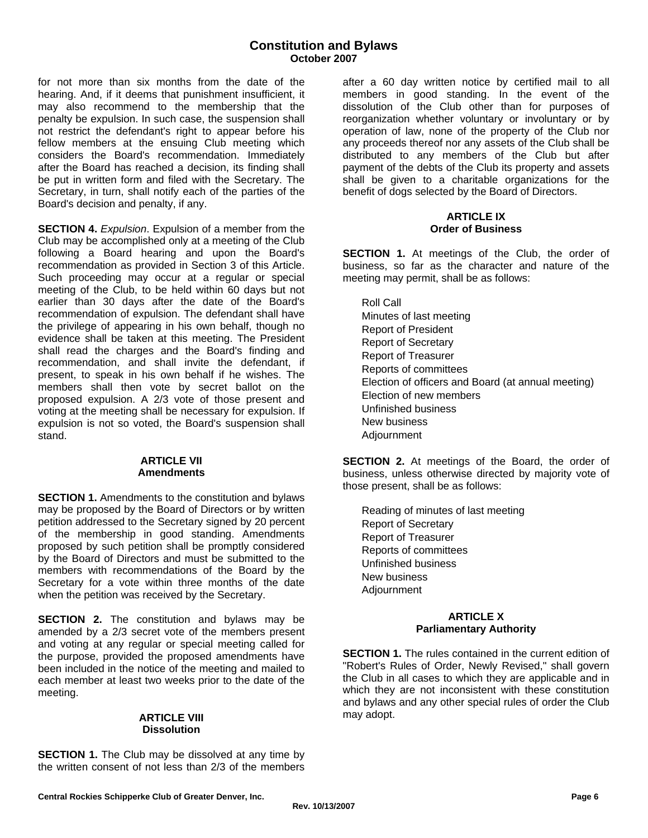# **Constitution and Bylaws October 2007**

for not more than six months from the date of the hearing. And, if it deems that punishment insufficient, it may also recommend to the membership that the penalty be expulsion. In such case, the suspension shall not restrict the defendant's right to appear before his fellow members at the ensuing Club meeting which considers the Board's recommendation. Immediately after the Board has reached a decision, its finding shall be put in written form and filed with the Secretary. The Secretary, in turn, shall notify each of the parties of the Board's decision and penalty, if any.

**SECTION 4.** *Expulsion*. Expulsion of a member from the Club may be accomplished only at a meeting of the Club following a Board hearing and upon the Board's recommendation as provided in Section 3 of this Article. Such proceeding may occur at a regular or special meeting of the Club, to be held within 60 days but not earlier than 30 days after the date of the Board's recommendation of expulsion. The defendant shall have the privilege of appearing in his own behalf, though no evidence shall be taken at this meeting. The President shall read the charges and the Board's finding and recommendation, and shall invite the defendant, if present, to speak in his own behalf if he wishes. The members shall then vote by secret ballot on the proposed expulsion. A 2/3 vote of those present and voting at the meeting shall be necessary for expulsion. If expulsion is not so voted, the Board's suspension shall stand.

### **ARTICLE VII Amendments**

**SECTION 1.** Amendments to the constitution and bylaws may be proposed by the Board of Directors or by written petition addressed to the Secretary signed by 20 percent of the membership in good standing. Amendments proposed by such petition shall be promptly considered by the Board of Directors and must be submitted to the members with recommendations of the Board by the Secretary for a vote within three months of the date when the petition was received by the Secretary.

**SECTION 2.** The constitution and bylaws may be amended by a 2/3 secret vote of the members present and voting at any regular or special meeting called for the purpose, provided the proposed amendments have been included in the notice of the meeting and mailed to each member at least two weeks prior to the date of the meeting.

### **ARTICLE VIII Dissolution**

**SECTION 1.** The Club may be dissolved at any time by the written consent of not less than 2/3 of the members

after a 60 day written notice by certified mail to all members in good standing. In the event of the dissolution of the Club other than for purposes of reorganization whether voluntary or involuntary or by operation of law, none of the property of the Club nor any proceeds thereof nor any assets of the Club shall be distributed to any members of the Club but after payment of the debts of the Club its property and assets shall be given to a charitable organizations for the benefit of dogs selected by the Board of Directors.

#### **ARTICLE IX Order of Business**

**SECTION 1.** At meetings of the Club, the order of business, so far as the character and nature of the meeting may permit, shall be as follows:

Roll Call Minutes of last meeting Report of President Report of Secretary Report of Treasurer Reports of committees Election of officers and Board (at annual meeting) Election of new members Unfinished business New business Adjournment

**SECTION 2.** At meetings of the Board, the order of business, unless otherwise directed by majority vote of those present, shall be as follows:

Reading of minutes of last meeting Report of Secretary Report of Treasurer Reports of committees Unfinished business New business **Adjournment** 

### **ARTICLE X Parliamentary Authority**

**SECTION 1.** The rules contained in the current edition of "Robert's Rules of Order, Newly Revised," shall govern the Club in all cases to which they are applicable and in which they are not inconsistent with these constitution and bylaws and any other special rules of order the Club may adopt.